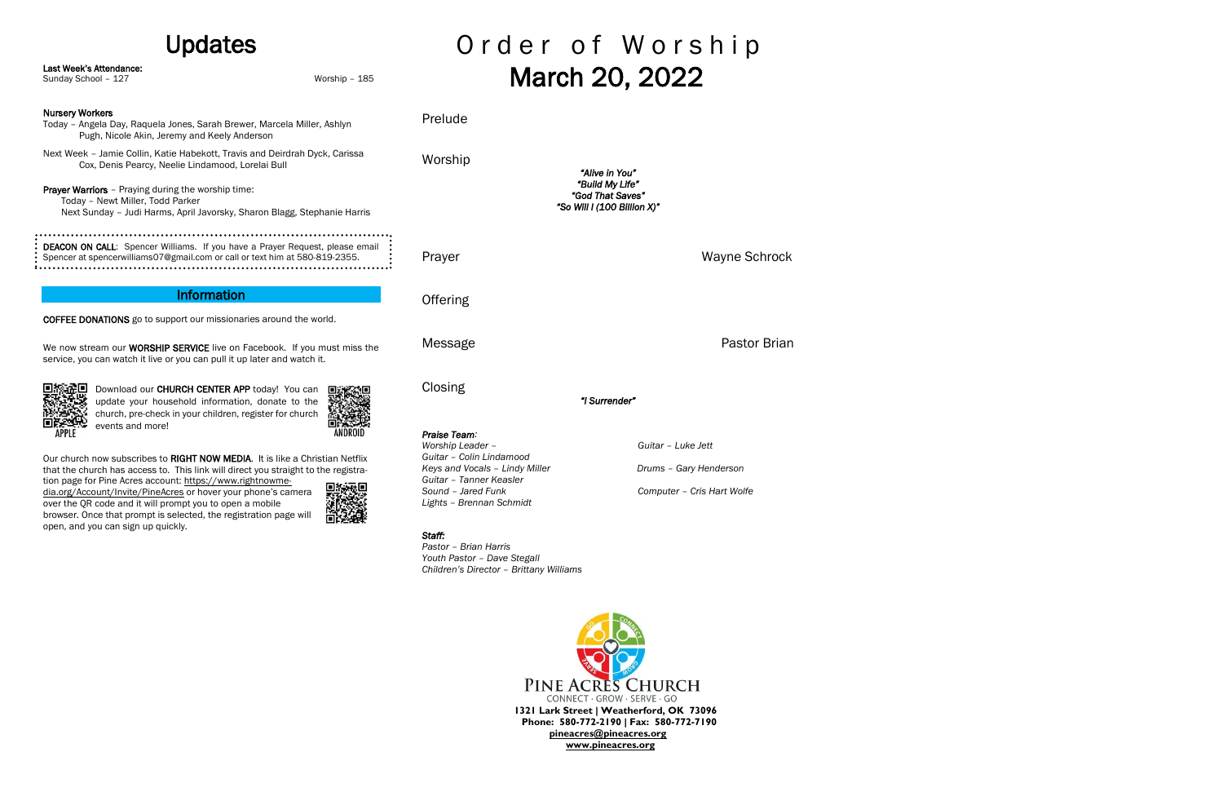## Updates

Our church now subscribes to RIGHT NOW MEDIA. It is like a Christian Netflix that the church has access to. This link will direct you straight to the registra-

## Order of Worship March 20, 2022

| Last Week's Attendance:<br>Sunday School - 127                                                                                                                            | Worship - 185                                                                                                                    |          | March 20, 20                                                       |
|---------------------------------------------------------------------------------------------------------------------------------------------------------------------------|----------------------------------------------------------------------------------------------------------------------------------|----------|--------------------------------------------------------------------|
| <b>Nursery Workers</b><br>Today - Angela Day, Raquela Jones, Sarah Brewer, Marcela Miller, Ashlyn<br>Pugh, Nicole Akin, Jeremy and Keely Anderson                         |                                                                                                                                  | Prelude  |                                                                    |
|                                                                                                                                                                           | Next Week - Jamie Collin, Katie Habekott, Travis and Deirdrah Dyck, Carissa<br>Cox, Denis Pearcy, Neelie Lindamood, Lorelai Bull |          | "Alive in You"                                                     |
| <b>Prayer Warriors</b> - Praying during the worship time:<br>Today - Newt Miller, Todd Parker<br>Next Sunday - Judi Harms, April Javorsky, Sharon Blagg, Stephanie Harris |                                                                                                                                  |          | "Build My Life"<br>"God That Saves"<br>"So Will I (100 Billion X)" |
| DEACON ON CALL: Spencer Williams. If you have a Prayer Request, please email<br>Spencer at spencerwilliams07@gmail.com or call or text him at 580-819-2355.               |                                                                                                                                  | Prayer   |                                                                    |
| Information                                                                                                                                                               |                                                                                                                                  | Offering |                                                                    |
| <b>COFFEE DONATIONS</b> go to support our missionaries around the world.                                                                                                  |                                                                                                                                  |          |                                                                    |
| We now stream our <b>WORSHIP SERVICE</b> live on Facebook. If you must miss the<br>service, you can watch it live or you can pull it up later and watch it.               |                                                                                                                                  | Message  |                                                                    |

APPLE

Download our CHURCH CENTER APP today! You can update your household information, donate to the church, pre-check in your children, register for church events and more!

tion page for Pine Acres account: [https://www.rightnowme](https://www.rightnowmedia.org/Account/Invite/PineAcres)[dia.org/Account/Invite/PineAcres](https://www.rightnowmedia.org/Account/Invite/PineAcres) or hover your phone's camera over the QR code and it will prompt you to open a mobile browser. Once that prompt is selected, the registration page will open, and you can sign up quickly.



**Closing** 

*"I Surrender"* 

*Praise Team:*

*Worship Leader – Guitar – Luke Jett Guitar – Colin Lindamood Keys and Vocals – Lindy Miller Drums – Gary Henderson Guitar – Tanner Keasler Sound – Jared Funk Computer – Cris Hart Wolfe Lights – Brennan Schmidt*

*Staff:* 

*Pastor – Brian Harris Youth Pastor – Dave Stegall Children's Director – Brittany Williams* 



Wayne Schrock

Pastor Brian